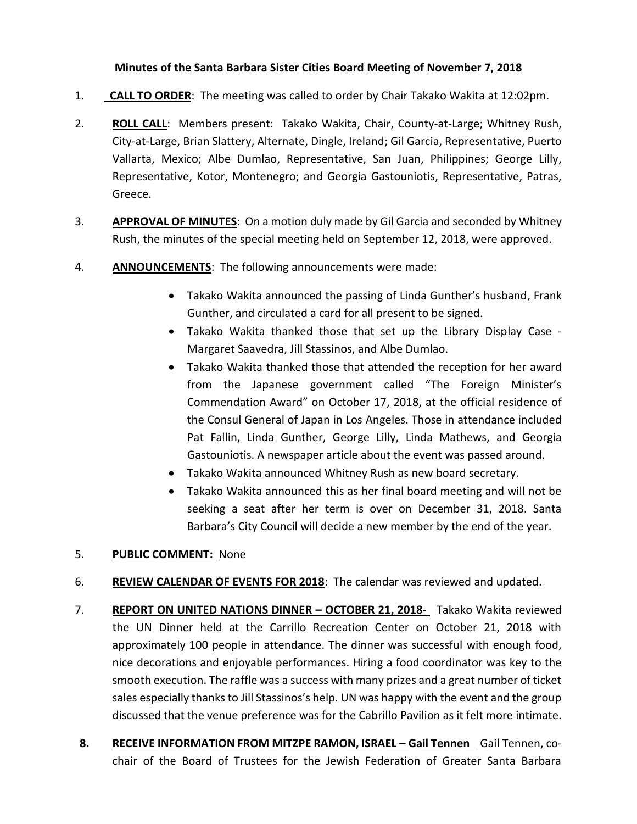## **Minutes of the Santa Barbara Sister Cities Board Meeting of November 7, 2018**

- 1. **CALL TO ORDER**: The meeting was called to order by Chair Takako Wakita at 12:02pm.
- 2. **ROLL CALL**: Members present: Takako Wakita, Chair, County-at-Large; Whitney Rush, City-at-Large, Brian Slattery, Alternate, Dingle, Ireland; Gil Garcia, Representative, Puerto Vallarta, Mexico; Albe Dumlao, Representative, San Juan, Philippines; George Lilly, Representative, Kotor, Montenegro; and Georgia Gastouniotis, Representative, Patras, Greece.
- 3. **APPROVAL OF MINUTES**: On a motion duly made by Gil Garcia and seconded by Whitney Rush, the minutes of the special meeting held on September 12, 2018, were approved.
- 4. **ANNOUNCEMENTS**: The following announcements were made:
	- Takako Wakita announced the passing of Linda Gunther's husband, Frank Gunther, and circulated a card for all present to be signed.
	- Takako Wakita thanked those that set up the Library Display Case Margaret Saavedra, Jill Stassinos, and Albe Dumlao.
	- Takako Wakita thanked those that attended the reception for her award from the Japanese government called "The Foreign Minister's Commendation Award" on October 17, 2018, at the official residence of the Consul General of Japan in Los Angeles. Those in attendance included Pat Fallin, Linda Gunther, George Lilly, Linda Mathews, and Georgia Gastouniotis. A newspaper article about the event was passed around.
	- Takako Wakita announced Whitney Rush as new board secretary.
	- Takako Wakita announced this as her final board meeting and will not be seeking a seat after her term is over on December 31, 2018. Santa Barbara's City Council will decide a new member by the end of the year.

## 5. **PUBLIC COMMENT:** None

- 6. **REVIEW CALENDAR OF EVENTS FOR 2018**: The calendar was reviewed and updated.
- 7. **REPORT ON UNITED NATIONS DINNER – OCTOBER 21, 2018-** Takako Wakita reviewed the UN Dinner held at the Carrillo Recreation Center on October 21, 2018 with approximately 100 people in attendance. The dinner was successful with enough food, nice decorations and enjoyable performances. Hiring a food coordinator was key to the smooth execution. The raffle was a success with many prizes and a great number of ticket sales especially thanks to Jill Stassinos's help. UN was happy with the event and the group discussed that the venue preference was for the Cabrillo Pavilion as it felt more intimate.
- **8. RECEIVE INFORMATION FROM MITZPE RAMON, ISRAEL – Gail Tennen** Gail Tennen, cochair of the Board of Trustees for the Jewish Federation of Greater Santa Barbara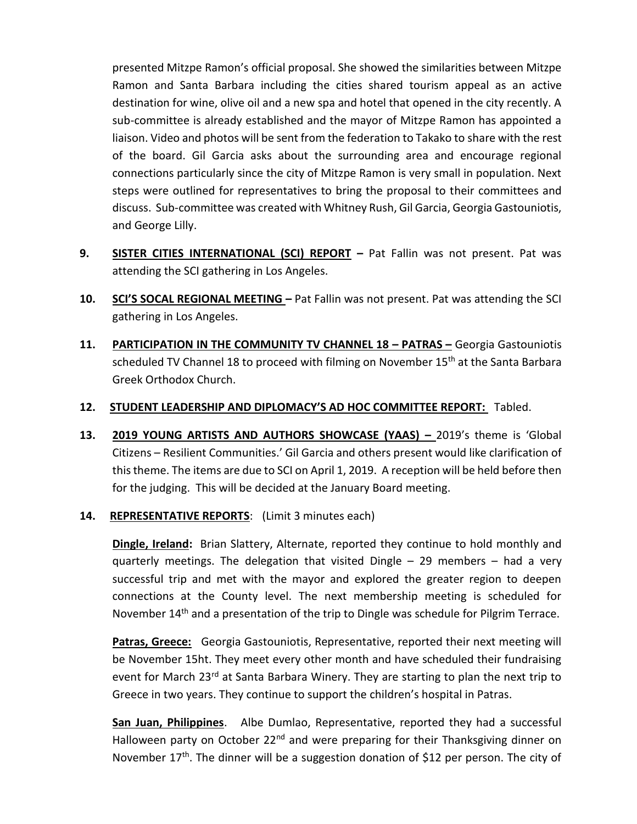presented Mitzpe Ramon's official proposal. She showed the similarities between Mitzpe Ramon and Santa Barbara including the cities shared tourism appeal as an active destination for wine, olive oil and a new spa and hotel that opened in the city recently. A sub-committee is already established and the mayor of Mitzpe Ramon has appointed a liaison. Video and photos will be sent from the federation to Takako to share with the rest of the board. Gil Garcia asks about the surrounding area and encourage regional connections particularly since the city of Mitzpe Ramon is very small in population. Next steps were outlined for representatives to bring the proposal to their committees and discuss. Sub-committee was created with Whitney Rush, Gil Garcia, Georgia Gastouniotis, and George Lilly.

- **9. SISTER CITIES INTERNATIONAL (SCI) REPORT –** Pat Fallin was not present. Pat was attending the SCI gathering in Los Angeles.
- **10. SCI'S SOCAL REGIONAL MEETING –** Pat Fallin was not present. Pat was attending the SCI gathering in Los Angeles.
- **11. PARTICIPATION IN THE COMMUNITY TV CHANNEL 18 – PATRAS –** Georgia Gastouniotis scheduled TV Channel 18 to proceed with filming on November  $15<sup>th</sup>$  at the Santa Barbara Greek Orthodox Church.

## **12. STUDENT LEADERSHIP AND DIPLOMACY'S AD HOC COMMITTEE REPORT:** Tabled.

**13. 2019 YOUNG ARTISTS AND AUTHORS SHOWCASE (YAAS) –** 2019's theme is 'Global Citizens – Resilient Communities.' Gil Garcia and others present would like clarification of this theme. The items are due to SCI on April 1, 2019. A reception will be held before then for the judging. This will be decided at the January Board meeting.

## **14. REPRESENTATIVE REPORTS**: (Limit 3 minutes each)

**Dingle, Ireland:** Brian Slattery, Alternate, reported they continue to hold monthly and quarterly meetings. The delegation that visited Dingle – 29 members – had a very successful trip and met with the mayor and explored the greater region to deepen connections at the County level. The next membership meeting is scheduled for November 14<sup>th</sup> and a presentation of the trip to Dingle was schedule for Pilgrim Terrace.

**Patras, Greece:** Georgia Gastouniotis, Representative, reported their next meeting will be November 15ht. They meet every other month and have scheduled their fundraising event for March 23<sup>rd</sup> at Santa Barbara Winery. They are starting to plan the next trip to Greece in two years. They continue to support the children's hospital in Patras.

**San Juan, Philippines**. Albe Dumlao, Representative, reported they had a successful Halloween party on October 22<sup>nd</sup> and were preparing for their Thanksgiving dinner on November  $17<sup>th</sup>$ . The dinner will be a suggestion donation of \$12 per person. The city of